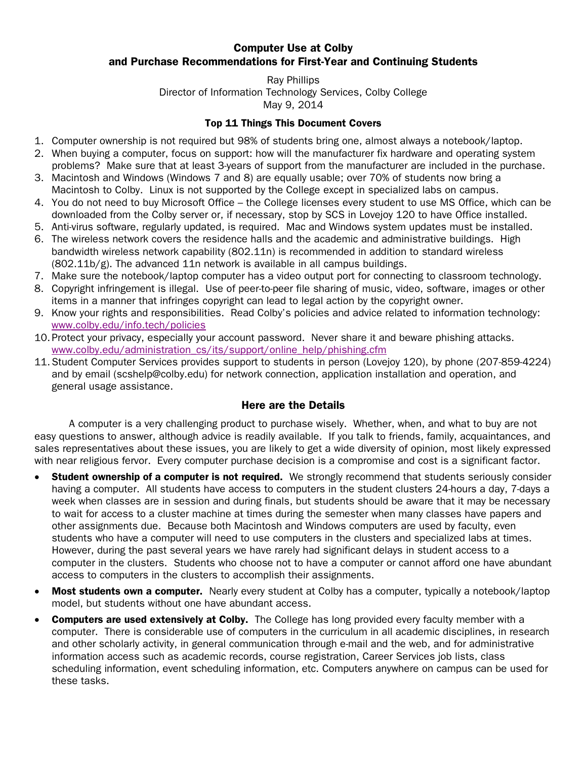# Computer Use at Colby and Purchase Recommendations for First-Year and Continuing Students

#### Ray Phillips Director of Information Technology Services, Colby College May 9, 2014

### Top 11 Things This Document Covers

- 1. Computer ownership is not required but 98% of students bring one, almost always a notebook/laptop.
- 2. When buying a computer, focus on support: how will the manufacturer fix hardware and operating system problems? Make sure that at least 3-years of support from the manufacturer are included in the purchase.
- 3. Macintosh and Windows (Windows 7 and 8) are equally usable; over 70% of students now bring a Macintosh to Colby. Linux is not supported by the College except in specialized labs on campus.
- 4. You do not need to buy Microsoft Office the College licenses every student to use MS Office, which can be downloaded from the Colby server or, if necessary, stop by SCS in Lovejoy 120 to have Office installed.
- 5. Anti-virus software, regularly updated, is required. Mac and Windows system updates must be installed.
- 6. The wireless network covers the residence halls and the academic and administrative buildings. High bandwidth wireless network capability (802.11n) is recommended in addition to standard wireless  $(802.11b/g)$ . The advanced 11n network is available in all campus buildings.
- 7. Make sure the notebook/laptop computer has a video output port for connecting to classroom technology.
- 8. Copyright infringement is illegal. Use of peer-to-peer file sharing of music, video, software, images or other items in a manner that infringes copyright can lead to legal action by the copyright owner.
- 9. Know your rights and responsibilities. Read Colby's policies and advice related to information technology: [www.colby.edu/info.tech/policies](http://www.colby.edu/info.tech/policies)
- 10.Protect your privacy, especially your account password. Never share it and beware phishing attacks. [www.colby.edu/administration\\_cs/its/support/online\\_help/phishing.cfm](http://www.colby.edu/administration_cs/its/support/online_help/phishing.cfm)
- 11.Student Computer Services provides support to students in person (Lovejoy 120), by phone (207-859-4224) and by email (scshelp@colby.edu) for network connection, application installation and operation, and general usage assistance.

# Here are the Details

A computer is a very challenging product to purchase wisely. Whether, when, and what to buy are not easy questions to answer, although advice is readily available. If you talk to friends, family, acquaintances, and sales representatives about these issues, you are likely to get a wide diversity of opinion, most likely expressed with near religious fervor. Every computer purchase decision is a compromise and cost is a significant factor.

- Student ownership of a computer is not required. We strongly recommend that students seriously consider having a computer. All students have access to computers in the student clusters 24-hours a day, 7-days a week when classes are in session and during finals, but students should be aware that it may be necessary to wait for access to a cluster machine at times during the semester when many classes have papers and other assignments due. Because both Macintosh and Windows computers are used by faculty, even students who have a computer will need to use computers in the clusters and specialized labs at times. However, during the past several years we have rarely had significant delays in student access to a computer in the clusters. Students who choose not to have a computer or cannot afford one have abundant access to computers in the clusters to accomplish their assignments.
- **Most students own a computer.** Nearly every student at Colby has a computer, typically a notebook/laptop model, but students without one have abundant access.
- **Computers are used extensively at Colby.** The College has long provided every faculty member with a computer. There is considerable use of computers in the curriculum in all academic disciplines, in research and other scholarly activity, in general communication through e-mail and the web, and for administrative information access such as academic records, course registration, Career Services job lists, class scheduling information, event scheduling information, etc. Computers anywhere on campus can be used for these tasks.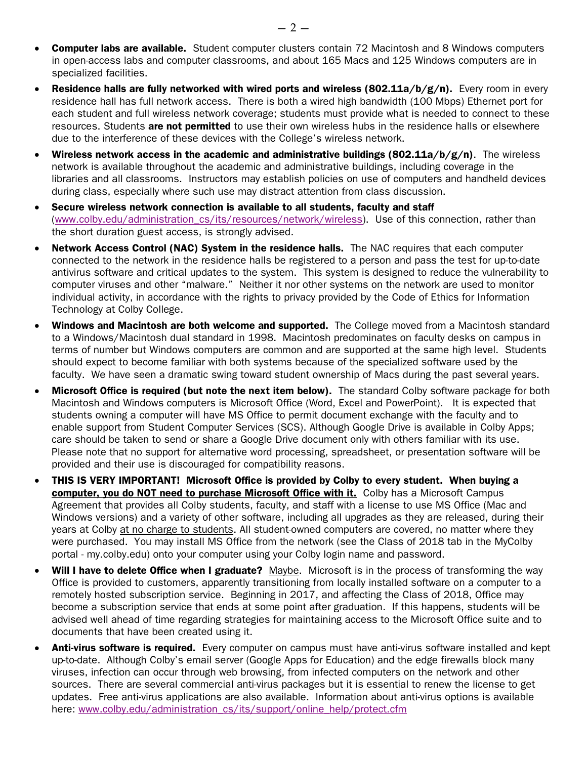- Computer labs are available. Student computer clusters contain 72 Macintosh and 8 Windows computers in open-access labs and computer classrooms, and about 165 Macs and 125 Windows computers are in specialized facilities.
- Residence halls are fully networked with wired ports and wireless (802.11a/b/g/n). Every room in every residence hall has full network access. There is both a wired high bandwidth (100 Mbps) Ethernet port for each student and full wireless network coverage; students must provide what is needed to connect to these resources. Students are not permitted to use their own wireless hubs in the residence halls or elsewhere due to the interference of these devices with the College's wireless network.
- Wireless network access in the academic and administrative buildings (802.11a/b/g/n). The wireless network is available throughout the academic and administrative buildings, including coverage in the libraries and all classrooms. Instructors may establish policies on use of computers and handheld devices during class, especially where such use may distract attention from class discussion.
- Secure wireless network connection is available to all students, faculty and staff [\(www.colby.edu/administration\\_cs/its/resources/network/wireless\)](http://www.colby.edu/administration_cs/its/resources/network/wireless/). Use of this connection, rather than the short duration guest access, is strongly advised.
- Network Access Control (NAC) System in the residence halls. The NAC requires that each computer connected to the network in the residence halls be registered to a person and pass the test for up-to-date antivirus software and critical updates to the system. This system is designed to reduce the vulnerability to computer viruses and other "malware." Neither it nor other systems on the network are used to monitor individual activity, in accordance with the rights to privacy provided by the Code of Ethics for Information Technology at Colby College.
- Windows and Macintosh are both welcome and supported. The College moved from a Macintosh standard to a Windows/Macintosh dual standard in 1998. Macintosh predominates on faculty desks on campus in terms of number but Windows computers are common and are supported at the same high level. Students should expect to become familiar with both systems because of the specialized software used by the faculty. We have seen a dramatic swing toward student ownership of Macs during the past several years.
- Microsoft Office is required (but note the next item below). The standard Colby software package for both Macintosh and Windows computers is Microsoft Office (Word, Excel and PowerPoint). It is expected that students owning a computer will have MS Office to permit document exchange with the faculty and to enable support from Student Computer Services (SCS). Although Google Drive is available in Colby Apps; care should be taken to send or share a Google Drive document only with others familiar with its use. Please note that no support for alternative word processing, spreadsheet, or presentation software will be provided and their use is discouraged for compatibility reasons.
- THIS IS VERY IMPORTANT! Microsoft Office is provided by Colby to every student. When buying a computer, you do NOT need to purchase Microsoft Office with it. Colby has a Microsoft Campus Agreement that provides all Colby students, faculty, and staff with a license to use MS Office (Mac and Windows versions) and a variety of other software, including all upgrades as they are released, during their years at Colby at no charge to students. All student-owned computers are covered, no matter where they were purchased. You may install MS Office from the network (see the Class of 2018 tab in the MyColby portal - my.colby.edu) onto your computer using your Colby login name and password.
- Will I have to delete Office when I graduate? Maybe. Microsoft is in the process of transforming the way Office is provided to customers, apparently transitioning from locally installed software on a computer to a remotely hosted subscription service. Beginning in 2017, and affecting the Class of 2018, Office may become a subscription service that ends at some point after graduation. If this happens, students will be advised well ahead of time regarding strategies for maintaining access to the Microsoft Office suite and to documents that have been created using it.
- Anti-virus software is required. Every computer on campus must have anti-virus software installed and kept up-to-date. Although Colby's email server (Google Apps for Education) and the edge firewalls block many viruses, infection can occur through web browsing, from infected computers on the network and other sources. There are several commercial anti-virus packages but it is essential to renew the license to get updates. Free anti-virus applications are also available. Information about anti-virus options is available here: [www.colby.edu/administration\\_cs/its/support/online\\_help/protect.cfm](http://www.colby.edu/administration_cs/its/support/online_help/protect.cfm)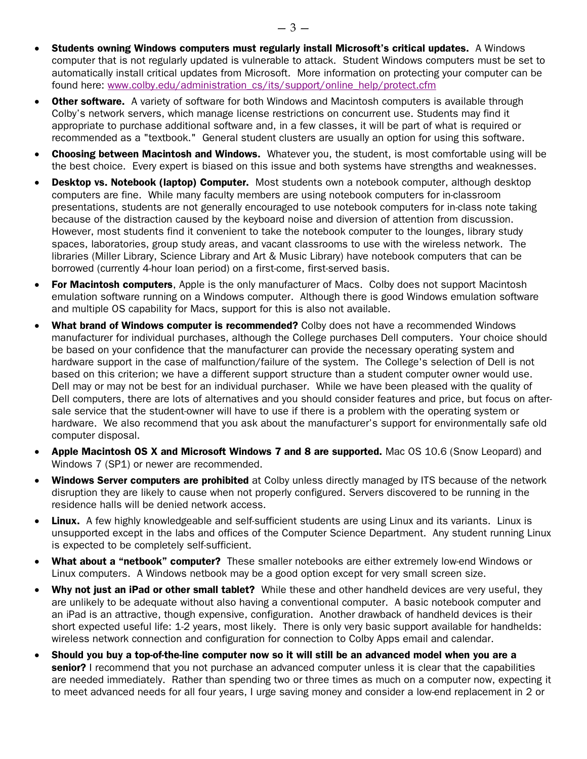- Students owning Windows computers must regularly install Microsoft's critical updates. A Windows computer that is not regularly updated is vulnerable to attack. Student Windows computers must be set to automatically install critical updates from Microsoft. More information on protecting your computer can be found here: [www.colby.edu/administration\\_cs/its/support/online\\_help/protect.cfm](http://www.colby.edu/administration_cs/its/support/online_help/protect.cfm)
- **Other software.** A variety of software for both Windows and Macintosh computers is available through Colby's network servers, which manage license restrictions on concurrent use. Students may find it appropriate to purchase additional software and, in a few classes, it will be part of what is required or recommended as a "textbook." General student clusters are usually an option for using this software.
- **Choosing between Macintosh and Windows.** Whatever you, the student, is most comfortable using will be the best choice. Every expert is biased on this issue and both systems have strengths and weaknesses.
- Desktop vs. Notebook (laptop) Computer. Most students own a notebook computer, although desktop computers are fine. While many faculty members are using notebook computers for in-classroom presentations, students are not generally encouraged to use notebook computers for in-class note taking because of the distraction caused by the keyboard noise and diversion of attention from discussion. However, most students find it convenient to take the notebook computer to the lounges, library study spaces, laboratories, group study areas, and vacant classrooms to use with the wireless network. The libraries (Miller Library, Science Library and Art & Music Library) have notebook computers that can be borrowed (currently 4-hour loan period) on a first-come, first-served basis.
- For Macintosh computers, Apple is the only manufacturer of Macs. Colby does not support Macintosh emulation software running on a Windows computer. Although there is good Windows emulation software and multiple OS capability for Macs, support for this is also not available.
- **What brand of Windows computer is recommended?** Colby does not have a recommended Windows manufacturer for individual purchases, although the College purchases Dell computers. Your choice should be based on your confidence that the manufacturer can provide the necessary operating system and hardware support in the case of malfunction/failure of the system. The College's selection of Dell is not based on this criterion; we have a different support structure than a student computer owner would use. Dell may or may not be best for an individual purchaser. While we have been pleased with the quality of Dell computers, there are lots of alternatives and you should consider features and price, but focus on aftersale service that the student-owner will have to use if there is a problem with the operating system or hardware. We also recommend that you ask about the manufacturer's support for environmentally safe old computer disposal.
- Apple Macintosh OS X and Microsoft Windows 7 and 8 are supported. Mac OS 10.6 (Snow Leopard) and Windows 7 (SP1) or newer are recommended.
- **Windows Server computers are prohibited** at Colby unless directly managed by ITS because of the network disruption they are likely to cause when not properly configured. Servers discovered to be running in the residence halls will be denied network access.
- Linux. A few highly knowledgeable and self-sufficient students are using Linux and its variants. Linux is unsupported except in the labs and offices of the Computer Science Department. Any student running Linux is expected to be completely self-sufficient.
- What about a "netbook" computer? These smaller notebooks are either extremely low-end Windows or Linux computers. A Windows netbook may be a good option except for very small screen size.
- Why not just an iPad or other small tablet? While these and other handheld devices are very useful, they are unlikely to be adequate without also having a conventional computer. A basic notebook computer and an iPad is an attractive, though expensive, configuration. Another drawback of handheld devices is their short expected useful life: 1-2 years, most likely. There is only very basic support available for handhelds: wireless network connection and configuration for connection to Colby Apps email and calendar.
- Should you buy a top-of-the-line computer now so it will still be an advanced model when you are a senior? I recommend that you not purchase an advanced computer unless it is clear that the capabilities are needed immediately. Rather than spending two or three times as much on a computer now, expecting it to meet advanced needs for all four years, I urge saving money and consider a low-end replacement in 2 or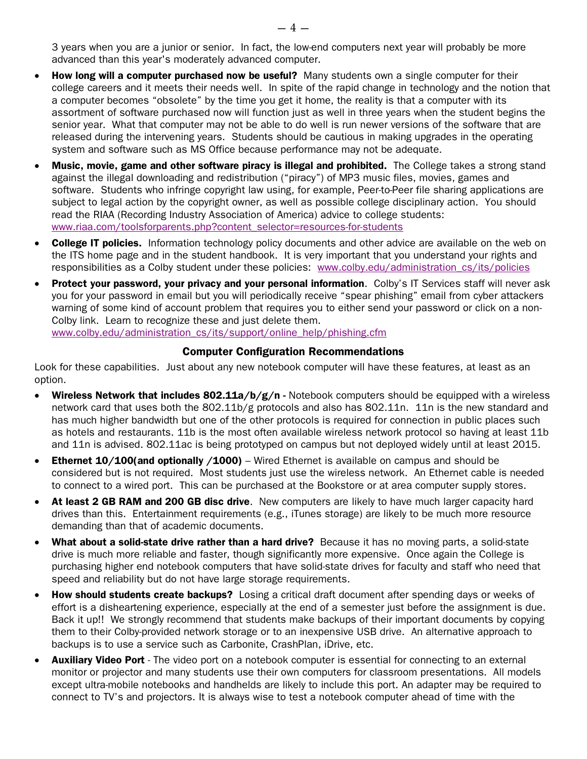3 years when you are a junior or senior. In fact, the low-end computers next year will probably be more advanced than this year's moderately advanced computer.

- How long will a computer purchased now be useful? Many students own a single computer for their college careers and it meets their needs well. In spite of the rapid change in technology and the notion that a computer becomes "obsolete" by the time you get it home, the reality is that a computer with its assortment of software purchased now will function just as well in three years when the student begins the senior year. What that computer may not be able to do well is run newer versions of the software that are released during the intervening years. Students should be cautious in making upgrades in the operating system and software such as MS Office because performance may not be adequate.
- Music, movie, game and other software piracy is illegal and prohibited. The College takes a strong stand against the illegal downloading and redistribution ("piracy") of MP3 music files, movies, games and software. Students who infringe copyright law using, for example, Peer-to-Peer file sharing applications are subject to legal action by the copyright owner, as well as possible college disciplinary action. You should read the RIAA (Recording Industry Association of America) advice to college students: [www.riaa.com/toolsforparents.php?content\\_selector=resources-for-students](http://www.riaa.com/toolsforparents.php?content_selector=resources-for-students)
- **College IT policies.** Information technology policy documents and other advice are available on the web on the ITS home page and in the student handbook. It is very important that you understand your rights and responsibilities as a Colby student under these policies: www.colby.edu/administration cs/its/policies
- Protect your password, your privacy and your personal information. Colby's IT Services staff will never ask you for your password in email but you will periodically receive "spear phishing" email from cyber attackers warning of some kind of account problem that requires you to either send your password or click on a non-Colby link. Learn to recognize these and just delete them. [www.colby.edu/administration\\_cs/its/support/online\\_help/phishing.cfm](http://www.colby.edu/administration_cs/its/support/online_help/phishing.cfm)

### Computer Configuration Recommendations

Look for these capabilities. Just about any new notebook computer will have these features, at least as an option.

- Wireless Network that includes 802.11a/b/g/n Notebook computers should be equipped with a wireless network card that uses both the 802.11b/g protocols and also has 802.11n. 11n is the new standard and has much higher bandwidth but one of the other protocols is required for connection in public places such as hotels and restaurants. 11b is the most often available wireless network protocol so having at least 11b and 11n is advised. 802.11ac is being prototyped on campus but not deployed widely until at least 2015.
- Ethernet 10/100(and optionally /1000) Wired Ethernet is available on campus and should be considered but is not required. Most students just use the wireless network. An Ethernet cable is needed to connect to a wired port. This can be purchased at the Bookstore or at area computer supply stores.
- At least 2 GB RAM and 200 GB disc drive. New computers are likely to have much larger capacity hard drives than this. Entertainment requirements (e.g., iTunes storage) are likely to be much more resource demanding than that of academic documents.
- What about a solid-state drive rather than a hard drive? Because it has no moving parts, a solid-state drive is much more reliable and faster, though significantly more expensive. Once again the College is purchasing higher end notebook computers that have solid-state drives for faculty and staff who need that speed and reliability but do not have large storage requirements.
- How should students create backups? Losing a critical draft document after spending days or weeks of effort is a disheartening experience, especially at the end of a semester just before the assignment is due. Back it up!! We strongly recommend that students make backups of their important documents by copying them to their Colby-provided network storage or to an inexpensive USB drive. An alternative approach to backups is to use a service such as Carbonite, CrashPlan, iDrive, etc.
- Auxiliary Video Port The video port on a notebook computer is essential for connecting to an external monitor or projector and many students use their own computers for classroom presentations. All models except ultra-mobile notebooks and handhelds are likely to include this port. An adapter may be required to connect to TV's and projectors. It is always wise to test a notebook computer ahead of time with the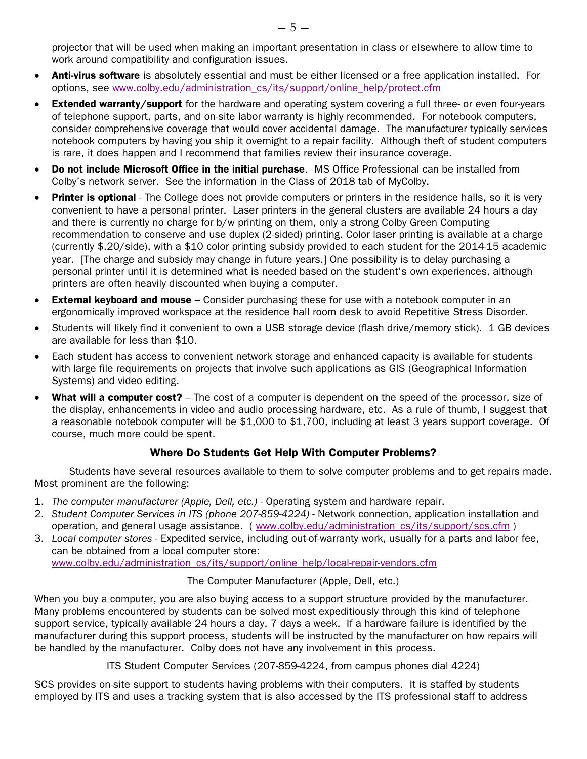projector that will be used when making an important presentation in class or elsewhere to allow time to work around compatibility and configuration issues.

- Anti-virus software is absolutely essential and must be either licensed or a free application installed. For options, see [www.colby.edu/administration\\_cs/its/support/online\\_help/protect.cfm](http://www.colby.edu/administration_cs/its/support/online_help/protect.cfm)
- Extended warranty/support for the hardware and operating system covering a full three- or even four-years of telephone support, parts, and on-site labor warranty is highly recommended. For notebook computers, consider comprehensive coverage that would cover accidental damage. The manufacturer typically services notebook computers by having you ship it overnight to a repair facility. Although theft of student computers is rare, it does happen and I recommend that families review their insurance coverage.
- Do not include Microsoft Office in the initial purchase. MS Office Professional can be installed from Colby's network server. See the information in the Class of 2018 tab of MyColby.
- Printer is optional The College does not provide computers or printers in the residence halls, so it is very convenient to have a personal printer. Laser printers in the general clusters are available 24 hours a day and there is currently no charge for b/w printing on them, only a strong Colby Green Computing recommendation to conserve and use duplex (2-sided) printing. Color laser printing is available at a charge (currently \$.20/side), with a \$10 color printing subsidy provided to each student for the 2014-15 academic year. [The charge and subsidy may change in future years.] One possibility is to delay purchasing a personal printer until it is determined what is needed based on the student's own experiences, although printers are often heavily discounted when buying a computer.
- External keyboard and mouse Consider purchasing these for use with a notebook computer in an ergonomically improved workspace at the residence hall room desk to avoid Repetitive Stress Disorder.
- Students will likely find it convenient to own a USB storage device (flash drive/memory stick). 1 GB devices are available for less than \$10.
- Each student has access to convenient network storage and enhanced capacity is available for students with large file requirements on projects that involve such applications as GIS (Geographical Information Systems) and video editing.
- What will a computer cost? The cost of a computer is dependent on the speed of the processor, size of the display, enhancements in video and audio processing hardware, etc. As a rule of thumb, I suggest that a reasonable notebook computer will be \$1,000 to \$1,700, including at least 3 years support coverage. Of course, much more could be spent.

# Where Do Students Get Help With Computer Problems?

Students have several resources available to them to solve computer problems and to get repairs made. Most prominent are the following:

- 1. *The computer manufacturer (Apple, Dell, etc.)* Operating system and hardware repair.
- 2. *Student Computer Services in ITS (phone 207-859-4224)* Network connection, application installation and operation, and general usage assistance. ( [www.colby.edu/administration\\_cs/its/support/scs.cfm](http://www.colby.edu/administration_cs/its/support/scs.cfm) )
- 3. *Local computer stores* Expedited service, including out-of-warranty work, usually for a parts and labor fee, can be obtained from a local computer store: [www.colby.edu/administration\\_cs/its/support/online\\_help/local-repair-vendors.cfm](http://www.colby.edu/administration_cs/its/support/online_help/local-repair-vendors.cfm)

The Computer Manufacturer (Apple, Dell, etc.)

When you buy a computer, you are also buying access to a support structure provided by the manufacturer. Many problems encountered by students can be solved most expeditiously through this kind of telephone support service, typically available 24 hours a day, 7 days a week. If a hardware failure is identified by the manufacturer during this support process, students will be instructed by the manufacturer on how repairs will be handled by the manufacturer. Colby does not have any involvement in this process.

ITS Student Computer Services (207-859-4224, from campus phones dial 4224)

SCS provides on-site support to students having problems with their computers. It is staffed by students employed by ITS and uses a tracking system that is also accessed by the ITS professional staff to address